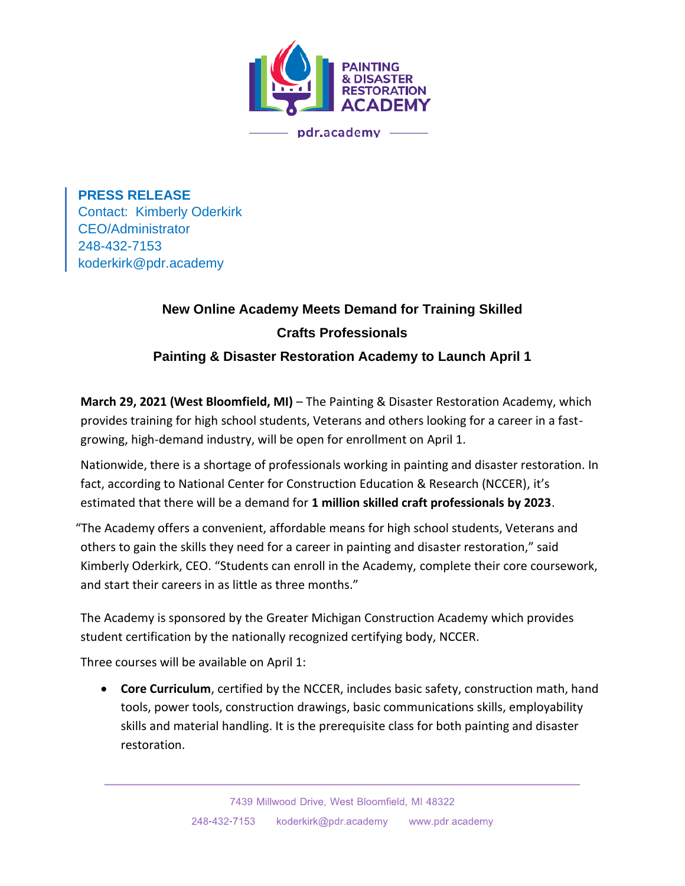

**PRESS RELEASE** Contact: Kimberly Oderkirk CEO/Administrator 248-432-7153 koderkirk@pdr.academy

## **New Online Academy Meets Demand for Training Skilled Crafts Professionals**

**Painting & Disaster Restoration Academy to Launch April 1**

**March 29, 2021 (West Bloomfield, MI)** – The Painting & Disaster Restoration Academy, which provides training for high school students, Veterans and others looking for a career in a fastgrowing, high-demand industry, will be open for enrollment on April 1.

Nationwide, there is a shortage of professionals working in painting and disaster restoration. In fact, according to National Center for Construction Education & Research (NCCER), it's estimated that there will be a demand for **1 million skilled craft professionals by 2023**.

"The Academy offers a convenient, affordable means for high school students, Veterans and others to gain the skills they need for a career in painting and disaster restoration," said Kimberly Oderkirk, CEO. "Students can enroll in the Academy, complete their core coursework, and start their careers in as little as three months."

The Academy is sponsored by the Greater Michigan Construction Academy which provides student certification by the nationally recognized certifying body, NCCER.

Three courses will be available on April 1:

• **Core Curriculum**, certified by the NCCER, includes basic safety, construction math, hand tools, power tools, construction drawings, basic communications skills, employability skills and material handling. It is the prerequisite class for both painting and disaster restoration.